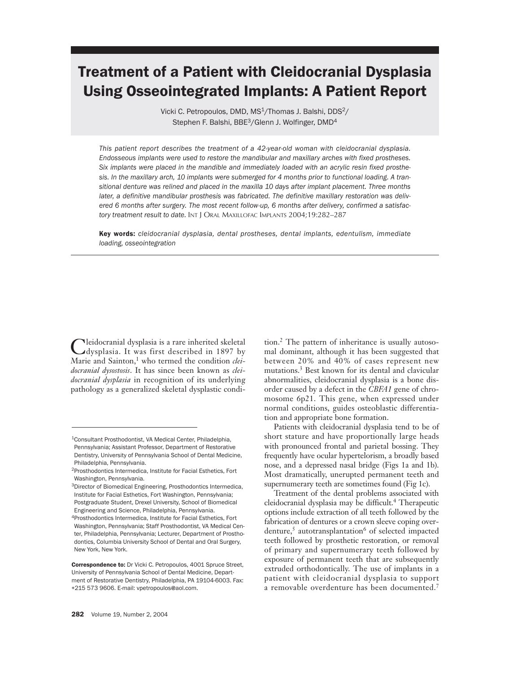# Treatment of a Patient with Cleidocranial Dysplasia Using Osseointegrated Implants: A Patient Report

Vicki C. Petropoulos, DMD, MS<sup>1</sup>/Thomas J. Balshi, DDS<sup>2</sup>/ Stephen F. Balshi, BBE<sup>3</sup>/Glenn J. Wolfinger, DMD<sup>4</sup>

*This patient report describes the treatment of a 42-year-old woman with cleidocranial dysplasia. Endosseous implants were used to restore the mandibular and maxillary arches with fixed prostheses. Six implants were placed in the mandible and immediately loaded with an acrylic resin fixed prosthesis. In the maxillary arch, 10 implants were submerged for 4 months prior to functional loading. A transitional denture was relined and placed in the maxilla 10 days after implant placement. Three months later, a definitive mandibular prosthesis was fabricated. The definitive maxillary restoration was delivered 6 months after surgery. The most recent follow-up, 6 months after delivery, confirmed a satisfactory treatment result to date.* INT J ORAL MAXILLOFAC IMPLANTS 2004;19:282–287

Key words: *cleidocranial dysplasia, dental prostheses, dental implants, edentulism, immediate loading, osseointegration*

Cleidocranial dysplasia is a rare inherited skeletal<br>
dysplasia. It was first described in 1897 by Marie and Sainton,<sup>1</sup> who termed the condition *cleidocranial dysostosis*. It has since been known as *cleidocranial dysplasia* in recognition of its underlying pathology as a generalized skeletal dysplastic condi-

tion.<sup>2</sup> The pattern of inheritance is usually autosomal dominant, although it has been suggested that between 20% and 40% of cases represent new mutations.<sup>3</sup> Best known for its dental and clavicular abnormalities, cleidocranial dysplasia is a bone disorder caused by a defect in the *CBFA1* gene of chromosome 6p21. This gene, when expressed under normal conditions, guides osteoblastic differentiation and appropriate bone formation.

Patients with cleidocranial dysplasia tend to be of short stature and have proportionally large heads with pronounced frontal and parietal bossing. They frequently have ocular hypertelorism, a broadly based nose, and a depressed nasal bridge (Figs 1a and 1b). Most dramatically, unerupted permanent teeth and supernumerary teeth are sometimes found (Fig 1c).

Treatment of the dental problems associated with cleidocranial dysplasia may be difficult.4 Therapeutic options include extraction of all teeth followed by the fabrication of dentures or a crown sleeve coping overdenture, $5$  autotransplantation $6$  of selected impacted teeth followed by prosthetic restoration, or removal of primary and supernumerary teeth followed by exposure of permanent teeth that are subsequently extruded orthodontically. The use of implants in a patient with cleidocranial dysplasia to support a removable overdenture has been documented.<sup>7</sup>

<sup>1</sup>Consultant Prosthodontist, VA Medical Center, Philadelphia, Pennsylvania; Assistant Professor, Department of Restorative Dentistry, University of Pennsylvania School of Dental Medicine, Philadelphia, Pennsylvania.

<sup>2</sup>Prosthodontics Intermedica, Institute for Facial Esthetics, Fort Washington, Pennsylvania.

<sup>&</sup>lt;sup>3</sup>Director of Biomedical Engineering, Prosthodontics Intermedica, Institute for Facial Esthetics, Fort Washington, Pennsylvania; Postgraduate Student, Drexel University, School of Biomedical Engineering and Science, Philadelphia, Pennsylvania. 4Prosthodontics Intermedica, Institute for Facial Esthetics, Fort Washington, Pennsylvania; Staff Prosthodontist, VA Medical Center, Philadelphia, Pennsylvania; Lecturer, Department of Prosthodontics, Columbia University School of Dental and Oral Surgery, New York, New York.

Correspondence to: Dr Vicki C. Petropoulos, 4001 Spruce Street, University of Pennsylvania School of Dental Medicine, Department of Restorative Dentistry, Philadelphia, PA 19104-6003. Fax: +215 573 9606. E-mail: vpetropoulos@aol.com.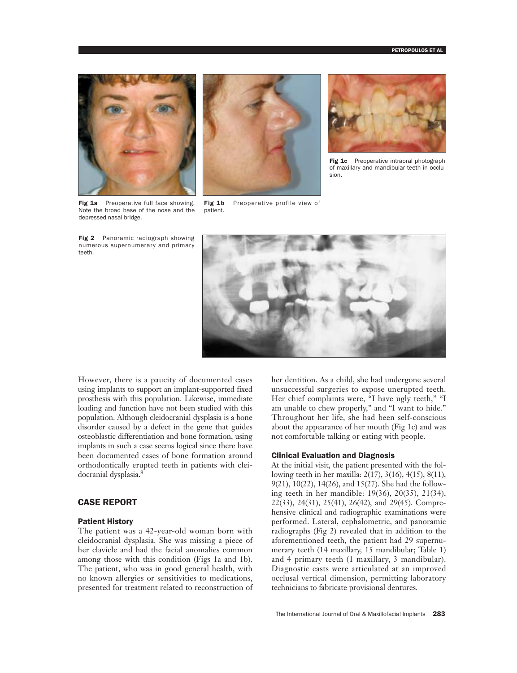

Fig 1a Preoperative full face showing. Note the broad base of the nose and the depressed nasal bridge.

Fig 2 Panoramic radiograph showing numerous supernumerary and primary teeth.



Fig 1b Preoperative profile view of patient.



Fig 1c Preoperative intraoral photograph of maxillary and mandibular teeth in occlusion.



However, there is a paucity of documented cases using implants to support an implant-supported fixed prosthesis with this population. Likewise, immediate loading and function have not been studied with this population. Although cleidocranial dysplasia is a bone disorder caused by a defect in the gene that guides osteoblastic differentiation and bone formation, using implants in such a case seems logical since there have been documented cases of bone formation around orthodontically erupted teeth in patients with cleidocranial dysplasia.8

# CASE REPORT

#### Patient History

The patient was a 42-year-old woman born with cleidocranial dysplasia. She was missing a piece of her clavicle and had the facial anomalies common among those with this condition (Figs 1a and 1b). The patient, who was in good general health, with no known allergies or sensitivities to medications, presented for treatment related to reconstruction of her dentition. As a child, she had undergone several unsuccessful surgeries to expose unerupted teeth. Her chief complaints were, "I have ugly teeth," "I am unable to chew properly," and "I want to hide." Throughout her life, she had been self-conscious about the appearance of her mouth (Fig 1c) and was not comfortable talking or eating with people.

# Clinical Evaluation and Diagnosis

At the initial visit, the patient presented with the following teeth in her maxilla: 2(17), 3(16), 4(15), 8(11), 9(21), 10(22), 14(26), and 15(27). She had the following teeth in her mandible: 19(36), 20(35), 21(34), 22(33), 24(31), 25(41), 26(42), and 29(45). Comprehensive clinical and radiographic examinations were performed. Lateral, cephalometric, and panoramic radiographs (Fig 2) revealed that in addition to the aforementioned teeth, the patient had 29 supernumerary teeth (14 maxillary, 15 mandibular; Table 1) and 4 primary teeth (1 maxillary, 3 mandibular). Diagnostic casts were articulated at an improved occlusal vertical dimension, permitting laboratory technicians to fabricate provisional dentures.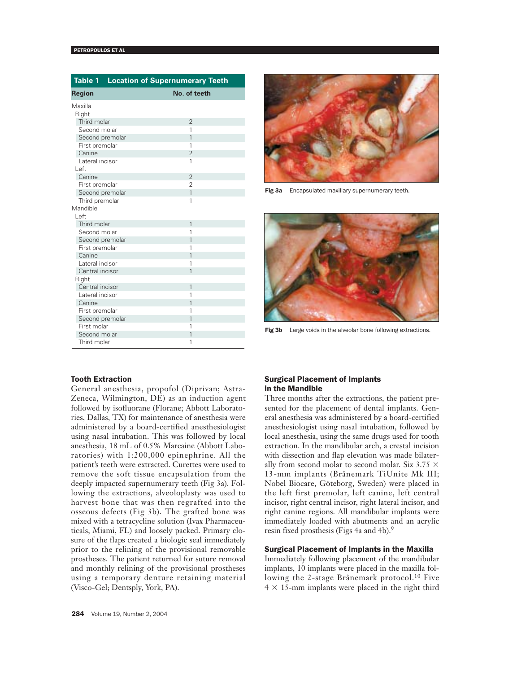| <b>Table 1 Location of Supernumerary Teeth</b> |                |
|------------------------------------------------|----------------|
| <b>Region</b>                                  | No. of teeth   |
| Maxilla                                        |                |
| Right                                          |                |
| Third molar                                    | $\overline{2}$ |
| Second molar                                   | 1              |
| Second premolar                                | $\overline{1}$ |
| First premolar                                 | 1              |
| Canine                                         | $\overline{2}$ |
| Lateral incisor                                | 1              |
| Left                                           |                |
| Canine                                         | $\overline{2}$ |
| First premolar                                 | $\overline{2}$ |
| Second premolar                                | $\overline{1}$ |
| Third premolar                                 | 1              |
| Mandible                                       |                |
| I eft                                          |                |
| Third molar                                    | 1              |
| Second molar                                   | 1              |
| Second premolar                                | 1              |
| First premolar                                 | 1              |
| Canine                                         | 1              |
| Lateral incisor                                | 1              |
| Central incisor                                | $\overline{1}$ |
| Right                                          |                |
| Central incisor                                | $\overline{1}$ |
| Lateral incisor                                | 1              |
| Canine                                         | $\overline{1}$ |
| First premolar                                 | 1              |
| Second premolar                                | 1              |
| First molar                                    | 1              |
| Second molar                                   | $\overline{1}$ |
| Third molar                                    | 1              |



Fig 3a Encapsulated maxillary supernumerary teeth.



Fig 3b Large voids in the alveolar bone following extractions.

## Tooth Extraction

General anesthesia, propofol (Diprivan; Astra-Zeneca, Wilmington, DE) as an induction agent followed by isofluorane (Florane; Abbott Laboratories, Dallas, TX) for maintenance of anesthesia were administered by a board-certified anesthesiologist using nasal intubation. This was followed by local anesthesia, 18 mL of 0.5% Marcaine (Abbott Laboratories) with 1:200,000 epinephrine. All the patient's teeth were extracted. Curettes were used to remove the soft tissue encapsulation from the deeply impacted supernumerary teeth (Fig 3a). Following the extractions, alveoloplasty was used to harvest bone that was then regrafted into the osseous defects (Fig 3b). The grafted bone was mixed with a tetracycline solution (Ivax Pharmaceuticals, Miami, FL) and loosely packed. Primary closure of the flaps created a biologic seal immediately prior to the relining of the provisional removable prostheses. The patient returned for suture removal and monthly relining of the provisional prostheses using a temporary denture retaining material (Visco-Gel; Dentsply, York, PA).

## Surgical Placement of Implants in the Mandible

Three months after the extractions, the patient presented for the placement of dental implants. General anesthesia was administered by a board-certified anesthesiologist using nasal intubation, followed by local anesthesia, using the same drugs used for tooth extraction. In the mandibular arch, a crestal incision with dissection and flap elevation was made bilaterally from second molar to second molar. Six 3.75  $\times$ 13-mm implants (Brånemark TiUnite Mk III; Nobel Biocare, Göteborg, Sweden) were placed in the left first premolar, left canine, left central incisor, right central incisor, right lateral incisor, and right canine regions. All mandibular implants were immediately loaded with abutments and an acrylic resin fixed prosthesis (Figs 4a and 4b).<sup>9</sup>

## Surgical Placement of Implants in the Maxilla

Immediately following placement of the mandibular implants, 10 implants were placed in the maxilla following the 2-stage Brånemark protocol.<sup>10</sup> Five  $4 \times 15$ -mm implants were placed in the right third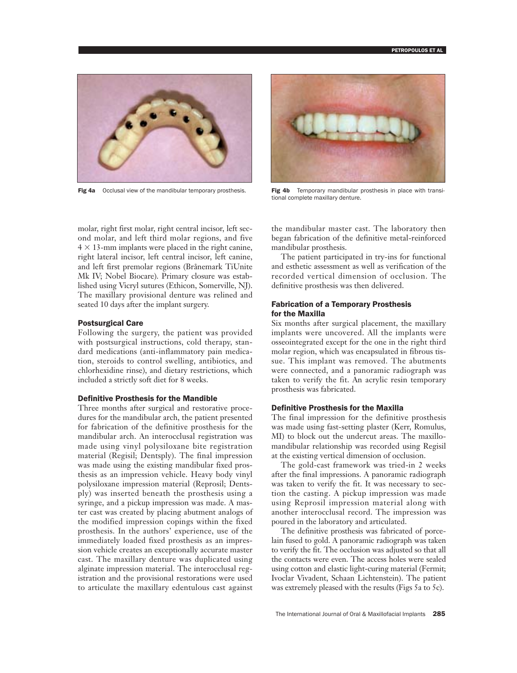

Fig 4a Occlusal view of the mandibular temporary prosthesis. Fig 4b Temporary mandibular prosthesis in place with transi-



tional complete maxillary denture.

molar, right first molar, right central incisor, left second molar, and left third molar regions, and five  $4 \times 13$ -mm implants were placed in the right canine, right lateral incisor, left central incisor, left canine, and left first premolar regions (Brånemark TiUnite Mk IV; Nobel Biocare). Primary closure was established using Vicryl sutures (Ethicon, Somerville, NJ). The maxillary provisional denture was relined and seated 10 days after the implant surgery.

#### Postsurgical Care

Following the surgery, the patient was provided with postsurgical instructions, cold therapy, standard medications (anti-inflammatory pain medication, steroids to control swelling, antibiotics, and chlorhexidine rinse), and dietary restrictions, which included a strictly soft diet for 8 weeks.

#### Definitive Prosthesis for the Mandible

Three months after surgical and restorative procedures for the mandibular arch, the patient presented for fabrication of the definitive prosthesis for the mandibular arch. An interocclusal registration was made using vinyl polysiloxane bite registration material (Regisil; Dentsply). The final impression was made using the existing mandibular fixed prosthesis as an impression vehicle. Heavy body vinyl polysiloxane impression material (Reprosil; Dentsply) was inserted beneath the prosthesis using a syringe, and a pickup impression was made. A master cast was created by placing abutment analogs of the modified impression copings within the fixed prosthesis. In the authors' experience, use of the immediately loaded fixed prosthesis as an impression vehicle creates an exceptionally accurate master cast. The maxillary denture was duplicated using alginate impression material. The interocclusal registration and the provisional restorations were used to articulate the maxillary edentulous cast against

the mandibular master cast. The laboratory then began fabrication of the definitive metal-reinforced mandibular prosthesis.

The patient participated in try-ins for functional and esthetic assessment as well as verification of the recorded vertical dimension of occlusion. The definitive prosthesis was then delivered.

## Fabrication of a Temporary Prosthesis for the Maxilla

Six months after surgical placement, the maxillary implants were uncovered. All the implants were osseointegrated except for the one in the right third molar region, which was encapsulated in fibrous tissue. This implant was removed. The abutments were connected, and a panoramic radiograph was taken to verify the fit. An acrylic resin temporary prosthesis was fabricated.

#### Definitive Prosthesis for the Maxilla

The final impression for the definitive prosthesis was made using fast-setting plaster (Kerr, Romulus, MI) to block out the undercut areas. The maxillomandibular relationship was recorded using Regisil at the existing vertical dimension of occlusion.

The gold-cast framework was tried-in 2 weeks after the final impressions. A panoramic radiograph was taken to verify the fit. It was necessary to section the casting. A pickup impression was made using Reprosil impression material along with another interocclusal record. The impression was poured in the laboratory and articulated.

The definitive prosthesis was fabricated of porcelain fused to gold. A panoramic radiograph was taken to verify the fit. The occlusion was adjusted so that all the contacts were even. The access holes were sealed using cotton and elastic light-curing material (Fermit; Ivoclar Vivadent, Schaan Lichtenstein). The patient was extremely pleased with the results (Figs 5a to 5c).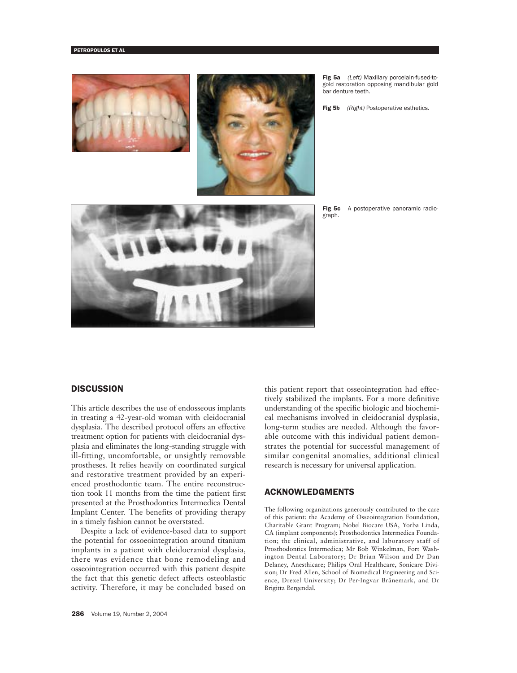



Fig 5a *(Left)* Maxillary porcelain-fused-togold restoration opposing mandibular gold bar denture teeth.

Fig 5b *(Right)* Postoperative esthetics.



Fig 5c A postoperative panoramic radiograph.

## **DISCUSSION**

This article describes the use of endosseous implants in treating a 42-year-old woman with cleidocranial dysplasia. The described protocol offers an effective treatment option for patients with cleidocranial dysplasia and eliminates the long-standing struggle with ill-fitting, uncomfortable, or unsightly removable prostheses. It relies heavily on coordinated surgical and restorative treatment provided by an experienced prosthodontic team. The entire reconstruction took 11 months from the time the patient first presented at the Prosthodontics Intermedica Dental Implant Center. The benefits of providing therapy in a timely fashion cannot be overstated.

Despite a lack of evidence-based data to support the potential for ossoeointegration around titanium implants in a patient with cleidocranial dysplasia, there was evidence that bone remodeling and osseointegration occurred with this patient despite the fact that this genetic defect affects osteoblastic activity. Therefore, it may be concluded based on

this patient report that osseointegration had effectively stabilized the implants. For a more definitive understanding of the specific biologic and biochemical mechanisms involved in cleidocranial dysplasia, long-term studies are needed. Although the favorable outcome with this individual patient demonstrates the potential for successful management of similar congenital anomalies, additional clinical research is necessary for universal application.

## ACKNOWLEDGMENTS

The following organizations generously contributed to the care of this patient: the Academy of Osseointegration Foundation, Charitable Grant Program; Nobel Biocare USA, Yorba Linda, CA (implant components); Prosthodontics Intermedica Foundation; the clinical, administrative, and laboratory staff of Prosthodontics Intermedica; Mr Bob Winkelman, Fort Washington Dental Laboratory; Dr Brian Wilson and Dr Dan Delaney, Anesthicare; Philips Oral Healthcare, Sonicare Division; Dr Fred Allen, School of Biomedical Engineering and Science, Drexel University; Dr Per-Ingvar Brånemark, and Dr Brigitta Bergendal.